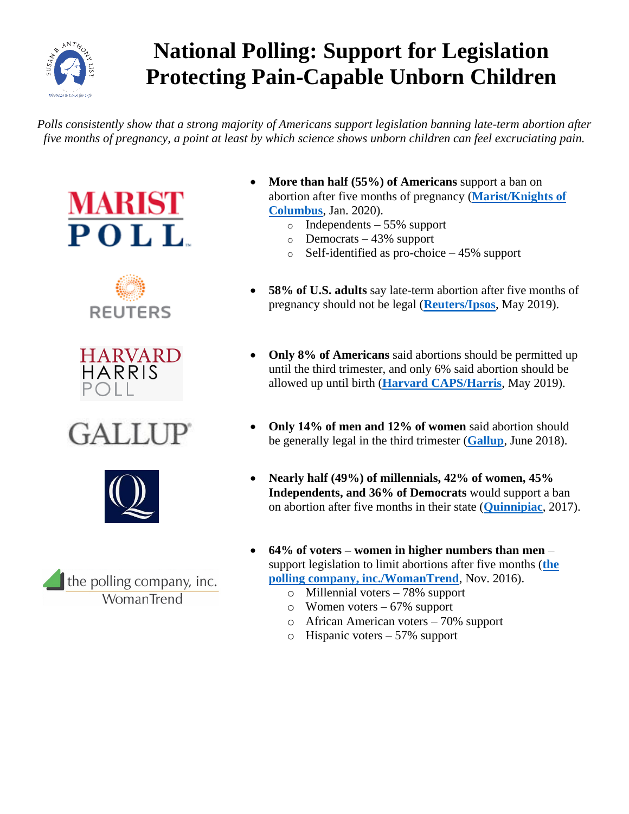

## **National Polling: Support for Legislation Protecting Pain-Capable Unborn Children**

*Polls consistently show that a strong majority of Americans support legislation banning late-term abortion after five months of pregnancy, a point at least by which science shows unborn children can feel excruciating pain.*













- **More than half (55%) of Americans** support a ban on abortion after five months of pregnancy (**[Marist/Knights of](http://www.kofc.org/un/en/resources/news-room/polls/americans-opinions-abortion.pdf)  [Columbus](http://www.kofc.org/un/en/resources/news-room/polls/americans-opinions-abortion.pdf)**, Jan. 2020).
	- o Independents 55% support
	- o Democrats 43% support
	- o Self-identified as pro-choice 45% support
- **58% of U.S. adults** say late-term abortion after five months of pregnancy should not be legal (**[Reuters/Ipsos](https://www.reuters.com/article/us-usa-abortion-poll/support-for-abortion-rights-grows-as-some-us-states-curb-access-reuters-ipsos-poll-idUSKCN1SW0CD)**, May 2019).
- **Only 8% of Americans** said abortions should be permitted up until the third trimester, and only 6% said abortion should be allowed up until birth (**[Harvard CAPS/Harris](https://thehill.com/policy/healthcare/446367-poll-nearly-half-of-americans-say-supreme-court-should-uphold-roe-v-wade)**, May 2019).
- **Only 14% of men and 12% of women** said abortion should be generally legal in the third trimester (**[Gallup](https://news.gallup.com/poll/235469/trimesters-key-abortion-views.aspx)**, June 2018).
- **Nearly half (49%) of millennials, 42% of women, 45% Independents, and 36% of Democrats** would support a ban on abortion after five months in their state (**[Quinnipiac](https://poll.qu.edu/national/release-detail?ReleaseID=2416)**, 2017).
- **64% of voters – women in higher numbers than men** support legislation to limit abortions after five months (**[the](https://www.sba-list.org/newsroom/press-releases/new-poll-voters-support-ending-painful-late-term-abortion-5-months)  [polling company, inc./WomanTrend](https://www.sba-list.org/newsroom/press-releases/new-poll-voters-support-ending-painful-late-term-abortion-5-months)**, Nov. 2016).
	- o Millennial voters 78% support
	- o Women voters 67% support
	- o African American voters 70% support
	- o Hispanic voters 57% support